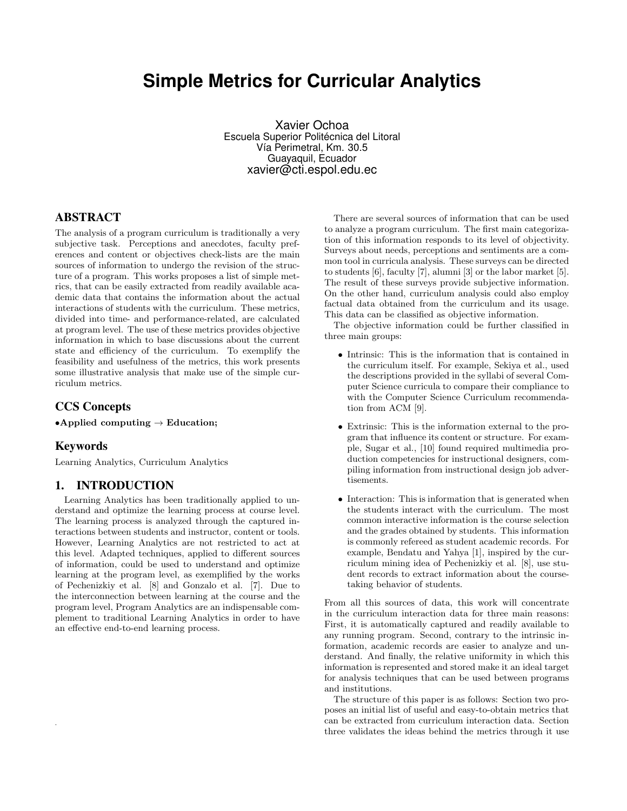# **Simple Metrics for Curricular Analytics**

Xavier Ochoa Escuela Superior Politécnica del Litoral Vía Perimetral, Km. 30.5 Guayaquil, Ecuador xavier@cti.espol.edu.ec

## ABSTRACT

The analysis of a program curriculum is traditionally a very subjective task. Perceptions and anecdotes, faculty preferences and content or objectives check-lists are the main sources of information to undergo the revision of the structure of a program. This works proposes a list of simple metrics, that can be easily extracted from readily available academic data that contains the information about the actual interactions of students with the curriculum. These metrics, divided into time- and performance-related, are calculated at program level. The use of these metrics provides objective information in which to base discussions about the current state and efficiency of the curriculum. To exemplify the feasibility and usefulness of the metrics, this work presents some illustrative analysis that make use of the simple curriculum metrics.

## CCS Concepts

•Applied computing  $\rightarrow$  Education;

## Keywords

.

Learning Analytics, Curriculum Analytics

## 1. INTRODUCTION

Learning Analytics has been traditionally applied to understand and optimize the learning process at course level. The learning process is analyzed through the captured interactions between students and instructor, content or tools. However, Learning Analytics are not restricted to act at this level. Adapted techniques, applied to different sources of information, could be used to understand and optimize learning at the program level, as exemplified by the works of Pechenizkiy et al. [8] and Gonzalo et al. [7]. Due to the interconnection between learning at the course and the program level, Program Analytics are an indispensable complement to traditional Learning Analytics in order to have an effective end-to-end learning process.

There are several sources of information that can be used to analyze a program curriculum. The first main categorization of this information responds to its level of objectivity. Surveys about needs, perceptions and sentiments are a common tool in curricula analysis. These surveys can be directed to students [6], faculty [7], alumni [3] or the labor market [5]. The result of these surveys provide subjective information. On the other hand, curriculum analysis could also employ factual data obtained from the curriculum and its usage. This data can be classified as objective information.

The objective information could be further classified in three main groups:

- *•* Intrinsic: This is the information that is contained in the curriculum itself. For example, Sekiya et al., used the descriptions provided in the syllabi of several Computer Science curricula to compare their compliance to with the Computer Science Curriculum recommendation from ACM [9].
- *•* Extrinsic: This is the information external to the program that influence its content or structure. For example, Sugar et al., [10] found required multimedia production competencies for instructional designers, compiling information from instructional design job advertisements.
- Interaction: This is information that is generated when the students interact with the curriculum. The most common interactive information is the course selection and the grades obtained by students. This information is commonly refereed as student academic records. For example, Bendatu and Yahya [1], inspired by the curriculum mining idea of Pechenizkiy et al. [8], use student records to extract information about the coursetaking behavior of students.

From all this sources of data, this work will concentrate in the curriculum interaction data for three main reasons: First, it is automatically captured and readily available to any running program. Second, contrary to the intrinsic information, academic records are easier to analyze and understand. And finally, the relative uniformity in which this information is represented and stored make it an ideal target for analysis techniques that can be used between programs and institutions.

The structure of this paper is as follows: Section two proposes an initial list of useful and easy-to-obtain metrics that can be extracted from curriculum interaction data. Section three validates the ideas behind the metrics through it use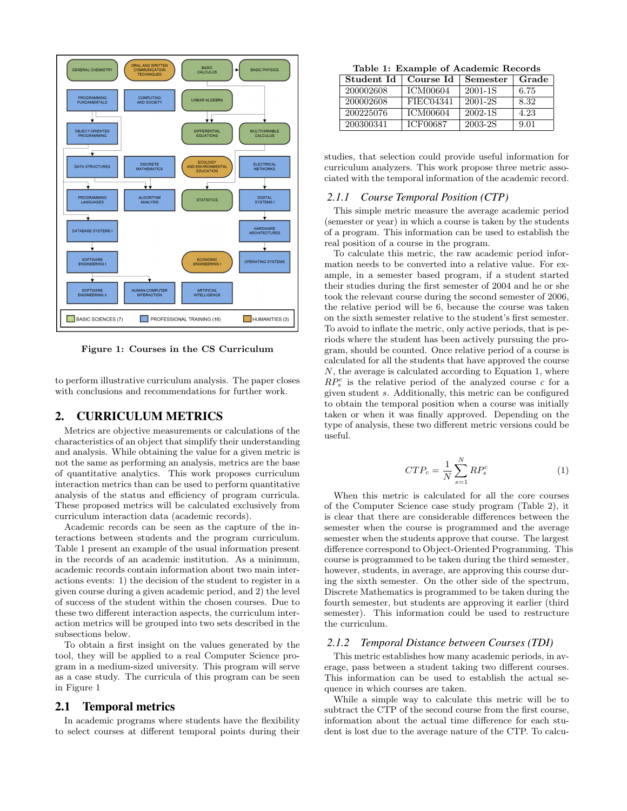

Figure 1: Courses in the CS Curriculum

to perform illustrative curriculum analysis. The paper closes with conclusions and recommendations for further work.

## 2. CURRICULUM METRICS

Metrics are objective measurements or calculations of the characteristics of an object that simplify their understanding and analysis. While obtaining the value for a given metric is not the same as performing an analysis, metrics are the base of quantitative analytics. This work proposes curriculum interaction metrics than can be used to perform quantitative analysis of the status and efficiency of program curricula. These proposed metrics will be calculated exclusively from curriculum interaction data (academic records).

Academic records can be seen as the capture of the interactions between students and the program curriculum. Table 1 present an example of the usual information present in the records of an academic institution. As a minimum, academic records contain information about two main interactions events: 1) the decision of the student to register in a given course during a given academic period, and 2) the level of success of the student within the chosen courses. Due to these two different interaction aspects, the curriculum interaction metrics will be grouped into two sets described in the subsections below.

To obtain a first insight on the values generated by the tool, they will be applied to a real Computer Science program in a medium-sized university. This program will serve as a case study. The curricula of this program can be seen in Figure 1

#### 2.1 Temporal metrics

In academic programs where students have the flexibility to select courses at different temporal points during their

Table 1: Example of Academic Records

| Student Id | Course Id       | Semester | Grade |
|------------|-----------------|----------|-------|
| 200002608  | <b>ICM00604</b> | 2001-1S  | 6.75  |
| 200002608  | FIEC04341       | 2001-2S  | 8.32  |
| 200225076  | <b>ICM00604</b> | 2002-1S  | 4.23  |
| 200300341  | <b>ICF00687</b> | 2003-2S  | 9.01  |

studies, that selection could provide useful information for curriculum analyzers. This work propose three metric associated with the temporal information of the academic record.

#### *2.1.1 Course Temporal Position (CTP)*

This simple metric measure the average academic period (semester or year) in which a course is taken by the students of a program. This information can be used to establish the real position of a course in the program.

To calculate this metric, the raw academic period information needs to be converted into a relative value. For example, in a semester based program, if a student started their studies during the first semester of 2004 and he or she took the relevant course during the second semester of 2006, the relative period will be 6, because the course was taken on the sixth semester relative to the student's first semester. To avoid to inflate the metric, only active periods, that is periods where the student has been actively pursuing the program, should be counted. Once relative period of a course is calculated for all the students that have approved the course *N*, the average is calculated according to Equation 1, where  $RP_s^c$  is the relative period of the analyzed course *c* for a given student *s*. Additionally, this metric can be configured to obtain the temporal position when a course was initially taken or when it was finally approved. Depending on the type of analysis, these two different metric versions could be useful.

$$
CTP_c = \frac{1}{N} \sum_{s=1}^{N} RP_s^c \tag{1}
$$

When this metric is calculated for all the core courses of the Computer Science case study program (Table 2), it is clear that there are considerable differences between the semester when the course is programmed and the average semester when the students approve that course. The largest difference correspond to Object-Oriented Programming. This course is programmed to be taken during the third semester, however, students, in average, are approving this course during the sixth semester. On the other side of the spectrum, Discrete Mathematics is programmed to be taken during the fourth semester, but students are approving it earlier (third semester). This information could be used to restructure the curriculum.

#### *2.1.2 Temporal Distance between Courses (TDI)*

This metric establishes how many academic periods, in average, pass between a student taking two different courses. This information can be used to establish the actual sequence in which courses are taken.

While a simple way to calculate this metric will be to subtract the CTP of the second course from the first course, information about the actual time difference for each student is lost due to the average nature of the CTP. To calcu-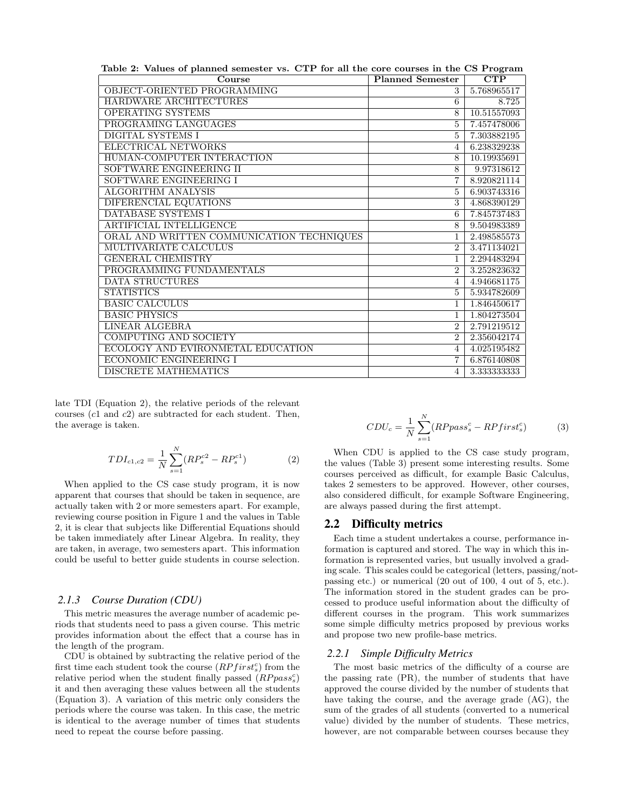| Table 2: Values of planned semester vs. CTP for all the core courses in the CS Program |                             |             |  |  |
|----------------------------------------------------------------------------------------|-----------------------------|-------------|--|--|
| Course                                                                                 | <b>Planned Semester</b>     | CTP         |  |  |
| OBJECT-ORIENTED PROGRAMMING                                                            | 3                           | 5.768965517 |  |  |
| HARDWARE ARCHITECTURES                                                                 | 6                           | 8.725       |  |  |
| OPERATING SYSTEMS                                                                      | 8                           | 10.51557093 |  |  |
| PROGRAMING LANGUAGES                                                                   | 5                           | 7.457478006 |  |  |
| <b>DIGITAL SYSTEMS I</b>                                                               | 5                           | 7.303882195 |  |  |
| ELECTRICAL NETWORKS                                                                    | 4                           | 6.238329238 |  |  |
| HUMAN-COMPUTER INTERACTION                                                             | 8                           | 10.19935691 |  |  |
| SOFTWARE ENGINEERING II                                                                | 8                           | 9.97318612  |  |  |
| SOFTWARE ENGINEERING I                                                                 | 7                           | 8.920821114 |  |  |
| <b>ALGORITHM ANALYSIS</b>                                                              | 5                           | 6.903743316 |  |  |
| DIFERENCIAL EQUATIONS                                                                  | 3                           | 4.868390129 |  |  |
| DATABASE SYSTEMS I                                                                     | 6                           | 7.845737483 |  |  |
| ARTIFICIAL INTELLIGENCE                                                                | 8                           | 9.504983389 |  |  |
| ORAL AND WRITTEN COMMUNICATION TECHNIQUES                                              | 1                           | 2.498585573 |  |  |
| MULTIVARIATE CALCULUS                                                                  | $\overline{2}$              | 3.471134021 |  |  |
| <b>GENERAL CHEMISTRY</b>                                                               | 1                           | 2.294483294 |  |  |
| PROGRAMMING FUNDAMENTALS                                                               | $\mathcal{D}_{\mathcal{L}}$ | 3.252823632 |  |  |
| DATA STRUCTURES                                                                        | 4                           | 4.946681175 |  |  |
| <b>STATISTICS</b>                                                                      | 5                           | 5.934782609 |  |  |
| <b>BASIC CALCULUS</b>                                                                  | 1                           | 1.846450617 |  |  |
| <b>BASIC PHYSICS</b>                                                                   | 1                           | 1.804273504 |  |  |
| <b>LINEAR ALGEBRA</b>                                                                  | $\mathcal{D}_{\mathcal{L}}$ | 2.791219512 |  |  |
| <b>COMPUTING AND SOCIETY</b>                                                           | $\overline{2}$              | 2.356042174 |  |  |
| ECOLOGY AND EVIRONMETAL EDUCATION                                                      | 4                           | 4.025195482 |  |  |
| <b>ECONOMIC ENGINEERING I</b>                                                          | 7                           | 6.876140808 |  |  |
| DISCRETE MATHEMATICS                                                                   | 4                           | 3.333333333 |  |  |

late TDI (Equation 2), the relative periods of the relevant courses (*c*1 and *c*2) are subtracted for each student. Then, the average is taken.

$$
TDI_{c1,c2} = \frac{1}{N} \sum_{s=1}^{N} (RP_s^{c2} - RP_s^{c1})
$$
 (2)

When applied to the CS case study program, it is now apparent that courses that should be taken in sequence, are actually taken with 2 or more semesters apart. For example, reviewing course position in Figure 1 and the values in Table 2, it is clear that subjects like Differential Equations should be taken immediately after Linear Algebra. In reality, they are taken, in average, two semesters apart. This information could be useful to better guide students in course selection.

#### *2.1.3 Course Duration (CDU)*

This metric measures the average number of academic periods that students need to pass a given course. This metric provides information about the effect that a course has in the length of the program.

CDU is obtained by subtracting the relative period of the first time each student took the course  $(RP first<sup>c</sup>)$  from the relative period when the student finally passed  $(RPpass<sub>s</sub><sup>c</sup>)$ it and then averaging these values between all the students (Equation 3). A variation of this metric only considers the periods where the course was taken. In this case, the metric is identical to the average number of times that students need to repeat the course before passing.

$$
CDU_c = \frac{1}{N} \sum_{s=1}^{N} (RPpass_s^c - RPfirst_s^c)
$$
 (3)

When CDU is applied to the CS case study program, the values (Table 3) present some interesting results. Some courses perceived as difficult, for example Basic Calculus, takes 2 semesters to be approved. However, other courses, also considered difficult, for example Software Engineering, are always passed during the first attempt.

## 2.2 Difficulty metrics

Each time a student undertakes a course, performance information is captured and stored. The way in which this information is represented varies, but usually involved a grading scale. This scales could be categorical (letters, passing/notpassing etc.) or numerical (20 out of 100, 4 out of 5, etc.). The information stored in the student grades can be processed to produce useful information about the difficulty of different courses in the program. This work summarizes some simple difficulty metrics proposed by previous works and propose two new profile-base metrics.

#### *2.2.1 Simple Difficulty Metrics*

The most basic metrics of the difficulty of a course are the passing rate (PR), the number of students that have approved the course divided by the number of students that have taking the course, and the average grade (AG), the sum of the grades of all students (converted to a numerical value) divided by the number of students. These metrics, however, are not comparable between courses because they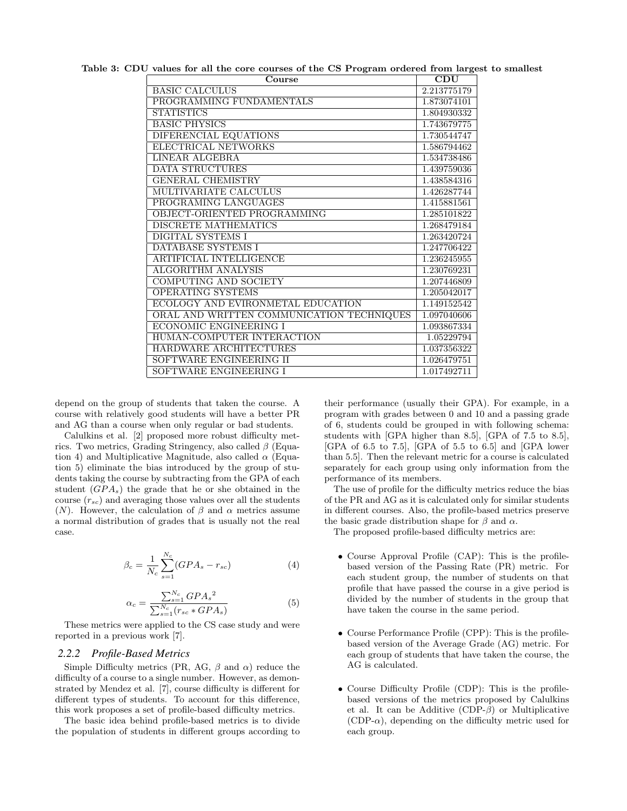| Course                                    | CDU         |
|-------------------------------------------|-------------|
| <b>BASIC CALCULUS</b>                     | 2.213775179 |
| PROGRAMMING FUNDAMENTALS                  | 1.873074101 |
| <b>STATISTICS</b>                         | 1.804930332 |
| <b>BASIC PHYSICS</b>                      | 1.743679775 |
| DIFERENCIAL EQUATIONS                     | 1.730544747 |
| ELECTRICAL NETWORKS                       | 1.586794462 |
| <b>LINEAR ALGEBRA</b>                     | 1.534738486 |
| DATA STRUCTURES                           | 1.439759036 |
| <b>GENERAL CHEMISTRY</b>                  | 1.438584316 |
| MULTIVARIATE CALCULUS                     | 1.426287744 |
| PROGRAMING LANGUAGES                      | 1.415881561 |
| OBJECT-ORIENTED PROGRAMMING               | 1.285101822 |
| DISCRETE MATHEMATICS                      | 1.268479184 |
| <b>DIGITAL SYSTEMS I</b>                  | 1.263420724 |
| <b>DATABASE SYSTEMS I</b>                 | 1.247706422 |
| ARTIFICIAL INTELLIGENCE                   | 1.236245955 |
| ALGORITHM ANALYSIS                        | 1.230769231 |
| COMPUTING AND SOCIETY                     | 1.207446809 |
| OPERATING SYSTEMS                         | 1.205042017 |
| ECOLOGY AND EVIRONMETAL EDUCATION         | 1.149152542 |
| ORAL AND WRITTEN COMMUNICATION TECHNIQUES | 1.097040606 |
| <b>ECONOMIC ENGINEERING I</b>             | 1.093867334 |
| HUMAN-COMPUTER INTERACTION                | 1.05229794  |
| HARDWARE ARCHITECTURES                    | 1.037356322 |
| SOFTWARE ENGINEERING II                   | 1.026479751 |
| SOFTWARE ENGINEERING I                    | 1.017492711 |

Table 3: CDU values for all the core courses of the CS Program ordered from largest to smallest

depend on the group of students that taken the course. A course with relatively good students will have a better PR and AG than a course when only regular or bad students.

Calulkins et al.  $[2]$  proposed more robust difficulty metrics. Two metrics, Grading Stringency, also called  $\beta$  (Equation 4) and Multiplicative Magnitude, also called  $\alpha$  (Equation 5) eliminate the bias introduced by the group of students taking the course by subtracting from the GPA of each student  $(GPA<sub>s</sub>)$  the grade that he or she obtained in the course  $(r_{sc})$  and averaging those values over all the students (*N*). However, the calculation of  $\beta$  and  $\alpha$  metrics assume a normal distribution of grades that is usually not the real case.

$$
\beta_c = \frac{1}{N_c} \sum_{s=1}^{N_c} (GPA_s - r_{sc})
$$
\n(4)

$$
\alpha_c = \frac{\sum_{s=1}^{N_c} GPA_s^2}{\sum_{s=1}^{N_c} (r_{sc} * GPA_s)}
$$
(5)

These metrics were applied to the CS case study and were reported in a previous work [7].

## *2.2.2 Profile-Based Metrics*

Simple Difficulty metrics (PR, AG,  $\beta$  and  $\alpha$ ) reduce the difficulty of a course to a single number. However, as demonstrated by Mendez et al. [7], course difficulty is different for different types of students. To account for this difference, this work proposes a set of profile-based difficulty metrics.

The basic idea behind profile-based metrics is to divide the population of students in different groups according to their performance (usually their GPA). For example, in a program with grades between 0 and 10 and a passing grade of 6, students could be grouped in with following schema: students with [GPA higher than 8.5], [GPA of 7.5 to 8.5], [GPA of 6.5 to 7.5], [GPA of 5.5 to 6.5] and [GPA lower than 5.5]. Then the relevant metric for a course is calculated separately for each group using only information from the performance of its members.

The use of profile for the difficulty metrics reduce the bias of the PR and AG as it is calculated only for similar students in different courses. Also, the profile-based metrics preserve the basic grade distribution shape for  $\beta$  and  $\alpha$ .

The proposed profile-based difficulty metrics are:

- *•* Course Approval Profile (CAP): This is the profilebased version of the Passing Rate (PR) metric. For each student group, the number of students on that profile that have passed the course in a give period is divided by the number of students in the group that have taken the course in the same period.
- *•* Course Performance Profile (CPP): This is the profilebased version of the Average Grade (AG) metric. For each group of students that have taken the course, the AG is calculated.
- Course Difficulty Profile (CDP): This is the profilebased versions of the metrics proposed by Calulkins et al. It can be Additive (CDP- $\beta$ ) or Multiplicative  $(CDP-\alpha)$ , depending on the difficulty metric used for each group.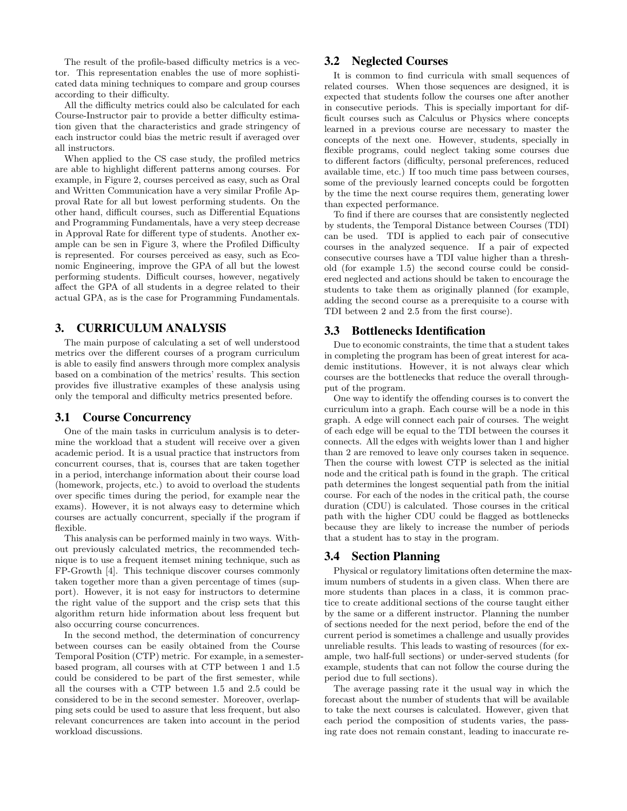The result of the profile-based difficulty metrics is a vector. This representation enables the use of more sophisticated data mining techniques to compare and group courses according to their difficulty.

All the difficulty metrics could also be calculated for each Course-Instructor pair to provide a better difficulty estimation given that the characteristics and grade stringency of each instructor could bias the metric result if averaged over all instructors.

When applied to the CS case study, the profiled metrics are able to highlight different patterns among courses. For example, in Figure 2, courses perceived as easy, such as Oral and Written Communication have a very similar Profile Approval Rate for all but lowest performing students. On the other hand, difficult courses, such as Differential Equations and Programming Fundamentals, have a very steep decrease in Approval Rate for different type of students. Another example can be sen in Figure 3, where the Profiled Difficulty is represented. For courses perceived as easy, such as Economic Engineering, improve the GPA of all but the lowest performing students. Difficult courses, however, negatively affect the GPA of all students in a degree related to their actual GPA, as is the case for Programming Fundamentals.

## 3. CURRICULUM ANALYSIS

The main purpose of calculating a set of well understood metrics over the different courses of a program curriculum is able to easily find answers through more complex analysis based on a combination of the metrics' results. This section provides five illustrative examples of these analysis using only the temporal and difficulty metrics presented before.

#### 3.1 Course Concurrency

One of the main tasks in curriculum analysis is to determine the workload that a student will receive over a given academic period. It is a usual practice that instructors from concurrent courses, that is, courses that are taken together in a period, interchange information about their course load (homework, projects, etc.) to avoid to overload the students over specific times during the period, for example near the exams). However, it is not always easy to determine which courses are actually concurrent, specially if the program if flexible.

This analysis can be performed mainly in two ways. Without previously calculated metrics, the recommended technique is to use a frequent itemset mining technique, such as FP-Growth [4]. This technique discover courses commonly taken together more than a given percentage of times (support). However, it is not easy for instructors to determine the right value of the support and the crisp sets that this algorithm return hide information about less frequent but also occurring course concurrences.

In the second method, the determination of concurrency between courses can be easily obtained from the Course Temporal Position (CTP) metric. For example, in a semesterbased program, all courses with at CTP between 1 and 1.5 could be considered to be part of the first semester, while all the courses with a CTP between 1.5 and 2.5 could be considered to be in the second semester. Moreover, overlapping sets could be used to assure that less frequent, but also relevant concurrences are taken into account in the period workload discussions.

## 3.2 Neglected Courses

It is common to find curricula with small sequences of related courses. When those sequences are designed, it is expected that students follow the courses one after another in consecutive periods. This is specially important for difficult courses such as Calculus or Physics where concepts learned in a previous course are necessary to master the concepts of the next one. However, students, specially in flexible programs, could neglect taking some courses due to different factors (difficulty, personal preferences, reduced available time, etc.) If too much time pass between courses, some of the previously learned concepts could be forgotten by the time the next course requires them, generating lower than expected performance.

To find if there are courses that are consistently neglected by students, the Temporal Distance between Courses (TDI) can be used. TDI is applied to each pair of consecutive courses in the analyzed sequence. If a pair of expected consecutive courses have a TDI value higher than a threshold (for example 1.5) the second course could be considered neglected and actions should be taken to encourage the students to take them as originally planned (for example, adding the second course as a prerequisite to a course with TDI between 2 and 2.5 from the first course).

#### 3.3 Bottlenecks Identification

Due to economic constraints, the time that a student takes in completing the program has been of great interest for academic institutions. However, it is not always clear which courses are the bottlenecks that reduce the overall throughput of the program.

One way to identify the offending courses is to convert the curriculum into a graph. Each course will be a node in this graph. A edge will connect each pair of courses. The weight of each edge will be equal to the TDI between the courses it connects. All the edges with weights lower than 1 and higher than 2 are removed to leave only courses taken in sequence. Then the course with lowest CTP is selected as the initial node and the critical path is found in the graph. The critical path determines the longest sequential path from the initial course. For each of the nodes in the critical path, the course duration (CDU) is calculated. Those courses in the critical path with the higher CDU could be flagged as bottlenecks because they are likely to increase the number of periods that a student has to stay in the program.

## 3.4 Section Planning

Physical or regulatory limitations often determine the maximum numbers of students in a given class. When there are more students than places in a class, it is common practice to create additional sections of the course taught either by the same or a different instructor. Planning the number of sections needed for the next period, before the end of the current period is sometimes a challenge and usually provides unreliable results. This leads to wasting of resources (for example, two half-full sections) or under-served students (for example, students that can not follow the course during the period due to full sections).

The average passing rate it the usual way in which the forecast about the number of students that will be available to take the next courses is calculated. However, given that each period the composition of students varies, the passing rate does not remain constant, leading to inaccurate re-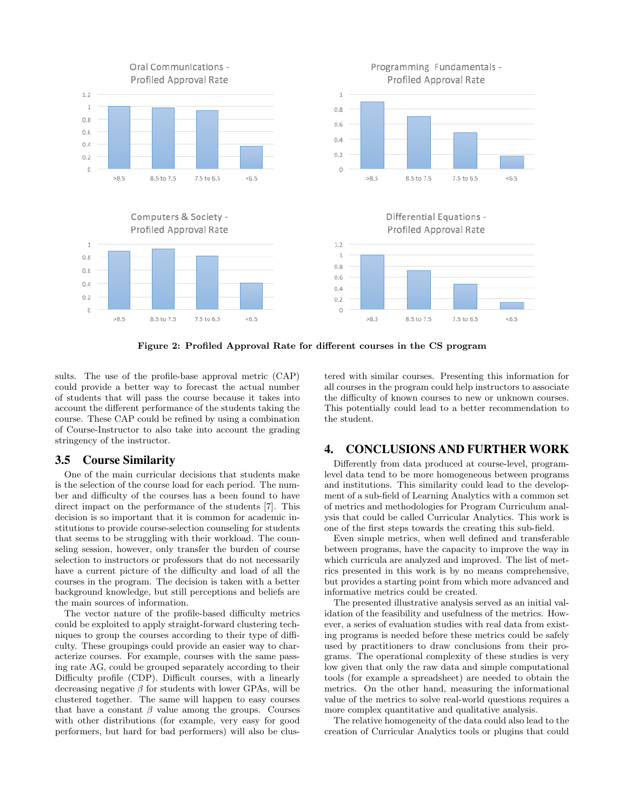

Figure 2: Profiled Approval Rate for different courses in the CS program

sults. The use of the profile-base approval metric (CAP) could provide a better way to forecast the actual number of students that will pass the course because it takes into account the different performance of the students taking the course. These CAP could be refined by using a combination of Course-Instructor to also take into account the grading stringency of the instructor.

## 3.5 Course Similarity

One of the main curricular decisions that students make is the selection of the course load for each period. The number and difficulty of the courses has a been found to have direct impact on the performance of the students [7]. This decision is so important that it is common for academic institutions to provide course-selection counseling for students that seems to be struggling with their workload. The counseling session, however, only transfer the burden of course selection to instructors or professors that do not necessarily have a current picture of the difficulty and load of all the courses in the program. The decision is taken with a better background knowledge, but still perceptions and beliefs are the main sources of information.

The vector nature of the profile-based difficulty metrics could be exploited to apply straight-forward clustering techniques to group the courses according to their type of difficulty. These groupings could provide an easier way to characterize courses. For example, courses with the same passing rate AG, could be grouped separately according to their Difficulty profile (CDP). Difficult courses, with a linearly decreasing negative  $\beta$  for students with lower GPAs, will be clustered together. The same will happen to easy courses that have a constant  $\beta$  value among the groups. Courses with other distributions (for example, very easy for good performers, but hard for bad performers) will also be clustered with similar courses. Presenting this information for all courses in the program could help instructors to associate the difficulty of known courses to new or unknown courses. This potentially could lead to a better recommendation to the student.

#### 4. CONCLUSIONS AND FURTHER WORK

Differently from data produced at course-level, programlevel data tend to be more homogeneous between programs and institutions. This similarity could lead to the development of a sub-field of Learning Analytics with a common set of metrics and methodologies for Program Curriculum analysis that could be called Curricular Analytics. This work is one of the first steps towards the creating this sub-field.

Even simple metrics, when well defined and transferable between programs, have the capacity to improve the way in which curricula are analyzed and improved. The list of metrics presented in this work is by no means comprehensive, but provides a starting point from which more advanced and informative metrics could be created.

The presented illustrative analysis served as an initial validation of the feasibility and usefulness of the metrics. However, a series of evaluation studies with real data from existing programs is needed before these metrics could be safely used by practitioners to draw conclusions from their programs. The operational complexity of these studies is very low given that only the raw data and simple computational tools (for example a spreadsheet) are needed to obtain the metrics. On the other hand, measuring the informational value of the metrics to solve real-world questions requires a more complex quantitative and qualitative analysis.

The relative homogeneity of the data could also lead to the creation of Curricular Analytics tools or plugins that could